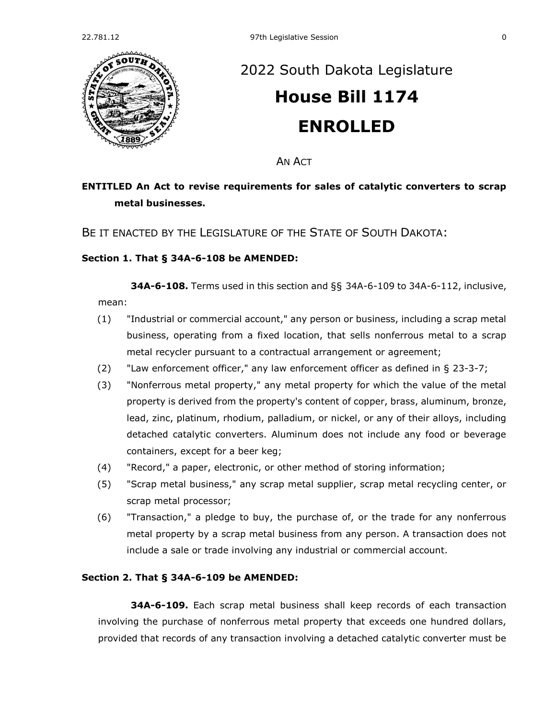

# [2022 South Dakota Legislature](https://sdlegislature.gov/Session/Bills/64) **[House Bill 1174](https://sdlegislature.gov/Session/Bill/23352) ENROLLED**

AN ACT

## **ENTITLED An Act to revise requirements for sales of catalytic converters to scrap metal businesses.**

BE IT ENACTED BY THE LEGISLATURE OF THE STATE OF SOUTH DAKOTA:

#### **Section 1. [That § 34A-6-108 be AMENDED:](https://sdlegislature.gov/Statutes?Statute=34A-6-108)**

**[34A-6-108.](https://sdlegislature.gov/Statutes/Codified_Laws/DisplayStatute.aspx?Type=Statute&Statute=34A-6-108)** Terms used in this section and §§ [34A-6-109](https://sdlegislature.gov/Statutes/Codified_Laws/DisplayStatute.aspx?Type=Statute&Statute=34A-6-109) to [34A-6-112,](https://sdlegislature.gov/Statutes/Codified_Laws/DisplayStatute.aspx?Type=Statute&Statute=34A-6-112) inclusive, mean:

- (1) "Industrial or commercial account," any person or business, including a scrap metal business, operating from a fixed location, that sells nonferrous metal to a scrap metal recycler pursuant to a contractual arrangement or agreement;
- (2) "Law enforcement officer," any law enforcement officer as defined in § [23-3-7;](https://sdlegislature.gov/Statutes/Codified_Laws/DisplayStatute.aspx?Type=Statute&Statute=23-3-7)
- (3) "Nonferrous metal property," any metal property for which the value of the metal property is derived from the property's content of copper, brass, aluminum, bronze, lead, zinc, platinum, rhodium, palladium, or nickel, or any of their alloys, including detached catalytic converters. Aluminum does not include any food or beverage containers, except for a beer keg;
- (4) "Record," a paper, electronic, or other method of storing information;
- (5) "Scrap metal business," any scrap metal supplier, scrap metal recycling center, or scrap metal processor;
- (6) "Transaction," a pledge to buy, the purchase of, or the trade for any nonferrous metal property by a scrap metal business from any person. A transaction does not include a sale or trade involving any industrial or commercial account.

#### **Section 2. [That § 34A-6-109 be AMENDED:](https://sdlegislature.gov/Statutes?Statute=34A-6-109)**

**[34A-6-109.](https://sdlegislature.gov/Statutes/Codified_Laws/DisplayStatute.aspx?Type=Statute&Statute=34A-6-109)** Each scrap metal business shall keep records of each transaction involving the purchase of nonferrous metal property that exceeds one hundred dollars, provided that records of any transaction involving a detached catalytic converter must be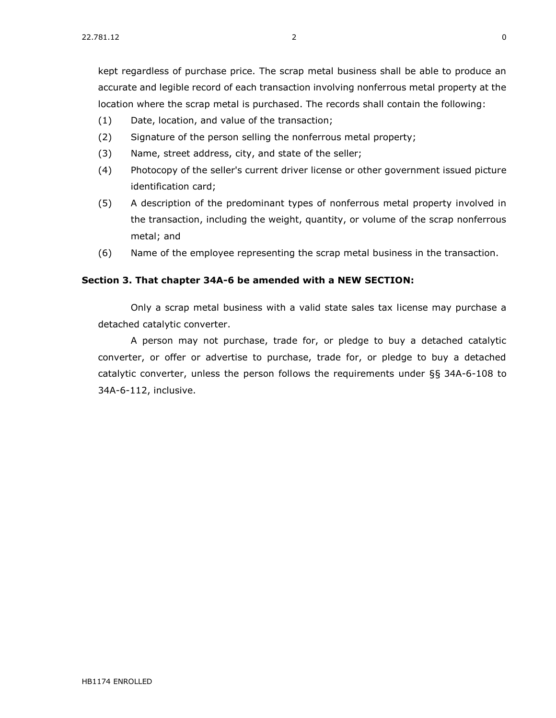kept regardless of purchase price. The scrap metal business shall be able to produce an accurate and legible record of each transaction involving nonferrous metal property at the location where the scrap metal is purchased. The records shall contain the following:

- (1) Date, location, and value of the transaction;
- (2) Signature of the person selling the nonferrous metal property;
- (3) Name, street address, city, and state of the seller;
- (4) Photocopy of the seller's current driver license or other government issued picture identification card;
- (5) A description of the predominant types of nonferrous metal property involved in the transaction, including the weight, quantity, or volume of the scrap nonferrous metal; and
- (6) Name of the employee representing the scrap metal business in the transaction.

### **Section 3. That chapter [34A-6](https://sdlegislature.gov/Statutes?Statute=34A-6) be amended with a NEW SECTION:**

Only a scrap metal business with a valid state sales tax license may purchase a detached catalytic converter.

A person may not purchase, trade for, or pledge to buy a detached catalytic converter, or offer or advertise to purchase, trade for, or pledge to buy a detached catalytic converter, unless the person follows the requirements under §§ [34A-6-108](https://sdlegislature.gov/Statutes?Statute=34A-6-108) to [34A-6-112,](https://sdlegislature.gov/Statutes?Statute=34A-6-112) inclusive.